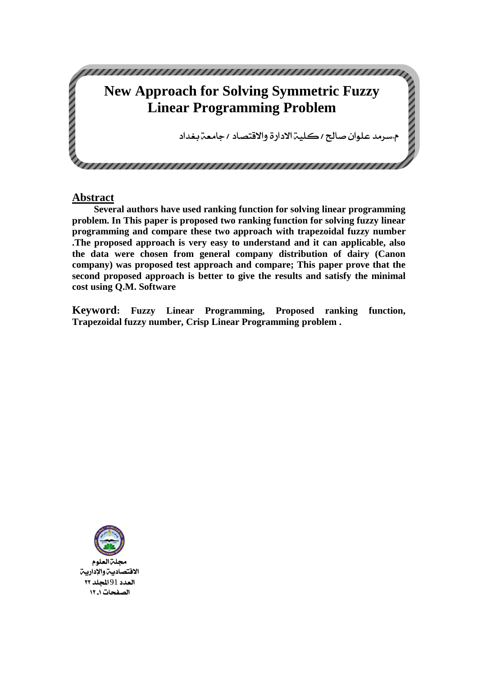

### **Abstract**

**Several authors have used ranking function for solving linear programming problem. In This paper is proposed two ranking function for solving fuzzy linear programming and compare these two approach with trapezoidal fuzzy number .The proposed approach is very easy to understand and it can applicable, also the data were chosen from general company distribution of dairy (Canon company) was proposed test approach and compare; This paper prove that the second proposed approach is better to give the results and satisfy the minimal cost using Q.M. Software**

**Keyword: Fuzzy Linear Programming, Proposed ranking function, Trapezoidal fuzzy number, Crisp Linear Programming problem .**

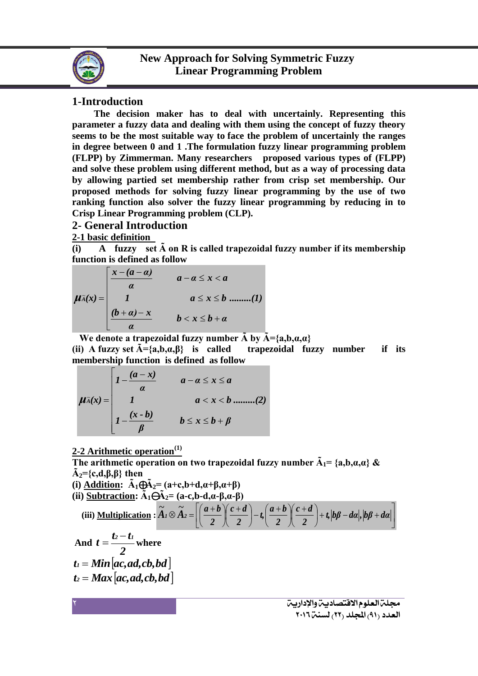

## **1-Introduction**

**The decision maker has to deal with uncertainly. Representing this parameter a fuzzy data and dealing with them using the concept of fuzzy theory seems to be the most suitable way to face the problem of uncertainly the ranges in degree between 0 and 1 .The formulation fuzzy linear programming problem (FLPP) by Zimmerman. Many researchers proposed various types of (FLPP) and solve these problem using different method, but as a way of processing data by allowing partied set membership rather from crisp set membership. Our proposed methods for solving fuzzy linear programming by the use of two ranking function also solver the fuzzy linear programming by reducing in to Crisp Linear Programming problem (CLP).**

### **2- General Introduction**

**2-1 basic definition** 

 $(i)$  A fuzzy set  $\tilde{A}$  on R is called trapezoidal fuzzy number if its membership **function is defined as follow**<br> $\begin{bmatrix} x - (a - a) \\ a \end{bmatrix}$ 

$$
\mu_{\tilde{A}}(x) = \begin{bmatrix} \frac{x - (a - a)}{a} & a - a \leq x < a \\ 1 & a \leq x \leq b \quad \text{........(1)} \\ \frac{(b + a) - x}{a} & b < x \leq b + a \end{bmatrix}
$$

We denote a trapezoidal fuzzy number  $\tilde{A}$  by  $\tilde{A} = \{a,b,a,a\}$ 

(ii) A fuzzy set  $\tilde{A} = \{a,b,a,\beta\}$  is called trapezoidal fuzzy number if its **membership function is defined as follow** 

$$
\mu_{\tilde{A}}(x) = \begin{vmatrix} 1 - \frac{(a-x)}{a} & a-a \leq x \leq a \\ 1 & a < x < b \quad \text{........(2)} \\ 1 - \frac{(x-b)}{\beta} & b \leq x \leq b+\beta \end{vmatrix}
$$

**2-2 Arithmetic operation(1)**

The arithmetic operation on two trapezoidal fuzzy number  $\tilde{A}_1$ = {a,b,a,a} &  $\tilde{A}_2 = \{c,d,\beta,\beta\}$ 

(i)  $\underline{\text{Addition}}$ :  $\tilde{A}_1 \oplus \tilde{A}_2 = (a+c, b+d, a+\beta, a+\beta)$ **<sup>2</sup>= (a-c,b- α-β α-β** 

(ii) Subtraction: 
$$
\tilde{A}_1 \Theta \tilde{A}_2 = (a-c,b-d,a-\beta,a-\beta)
$$
  
(iii) Multiplication:  $\tilde{A}_1 \otimes \tilde{A}_2 = \left[ \left( \frac{a+b}{2} \right) \left( \frac{c+d}{2} \right) - t, \left( \frac{a+b}{2} \right) \left( \frac{c+d}{2} \right) + t, |b\beta - da|, |b\beta + da| \right]$ 

And 
$$
t = \frac{t_2 - t_1}{2}
$$
 where  
\n $t_1 = Min[a, ad, cb, bd]$   
\n $t_2 = Max[a, ad, cb, bd]$ 

جملة العلوم االقتصادية واإلدارية 2 العدد )11( اجمللد )22( لسنة 2112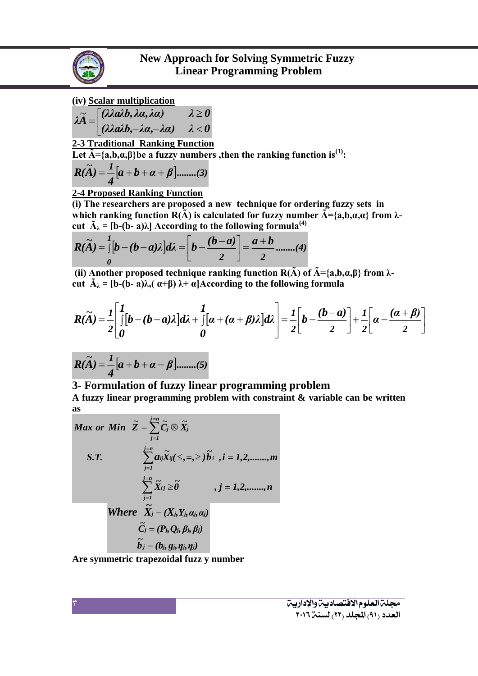

## **New Approach for Solving Symmetric Fuzzy Linear Programming Problem**

**(iv) Scalar multiplication** 

$$
\lambda \widetilde{A} = \begin{bmatrix} (\lambda \lambda a \lambda b, \lambda a, \lambda a) & \lambda \ge 0 \\ (\lambda \lambda a \lambda b, -\lambda a, -\lambda a) & \lambda < 0 \end{bmatrix}
$$

**2-3 Traditional Ranking Function**

Let  $\tilde{A} = \{a,b,a,\beta\}$ be a fuzzy numbers, then the ranking function is<sup>(1)</sup>:

$$
R(\widetilde{A}) = \frac{1}{4}[a+b+\alpha+\beta] \dots (3)
$$

### **2-4 Proposed Ranking Function**

(i) The researchers are proposed a new technique for ordering fuzzy sets in which ranking function  $R(\tilde{A})$  is calculated for fuzzy number  $\tilde{A} = \{a,b,a,a\}$  from  $\lambda$ cut  $\tilde{A}_{\lambda} = [\mathbf{b} \cdot (\mathbf{b} \cdot \mathbf{a})\lambda]$  According to the following formula<sup>(4)</sup>

$$
R(\widetilde{A}) = \int_{0}^{1} \left[b - (b-a)\lambda\right] d\lambda = \left[b - \frac{(b-a)}{2}\right] = \frac{a+b}{2} \dots (4)
$$

(ii) Another proposed technique ranking function  $R(\tilde{A})$  of  $\tilde{A} = \{a,b,a,\beta\}$  from  $\lambda$ **cut**  $\tilde{A}_λ = [b-(b-a)λ, (α+β) λ+ α]$  According to the following formula

$$
R(\widetilde{A}) = \frac{1}{2} \left[ \int_{0}^{1} [b - (b - a)\lambda] d\lambda + \int_{0}^{1} [a + (\alpha + \beta)\lambda] d\lambda \right] = \frac{1}{2} \left[ b - \frac{(b - a)}{2} \right] + \frac{1}{2} \left[ \alpha - \frac{(\alpha + \beta)}{2} \right]
$$

$$
R(\widetilde{A})=\frac{1}{4}[a+b+\alpha-\beta] \dots(5)
$$

#### **3- Formulation of fuzzy linear programming problem**

**A fuzzy linear programming problem with constraint & variable can be written as** 

Max or Min 
$$
\widetilde{Z} = \sum_{j=1}^{j=n} \widetilde{C}_j \otimes \widetilde{X}_j
$$
  
\nS.T.  $\sum_{j=1}^{j=n} a_{ij} \widetilde{X}_{ij} (\leq, =, \geq) \widetilde{b}_i$ ,  $i = 1, 2, \dots, m$   
\n $\sum_{j=1}^{j=n} \widetilde{X}_{ij} \geq \widetilde{0}$ ,  $j = 1, 2, \dots, n$   
\nWhere  $\widetilde{X}_j = (X_j, Y_j, a_j, a_j)$   
\n $\widetilde{C}_j = (P_j, Q_j, \beta_j, \beta_j)$   
\n $\widetilde{b}_j = (b_j, g_j, \eta_j, \eta_j)$ 

**Are symmetric trapezoidal fuzz y number**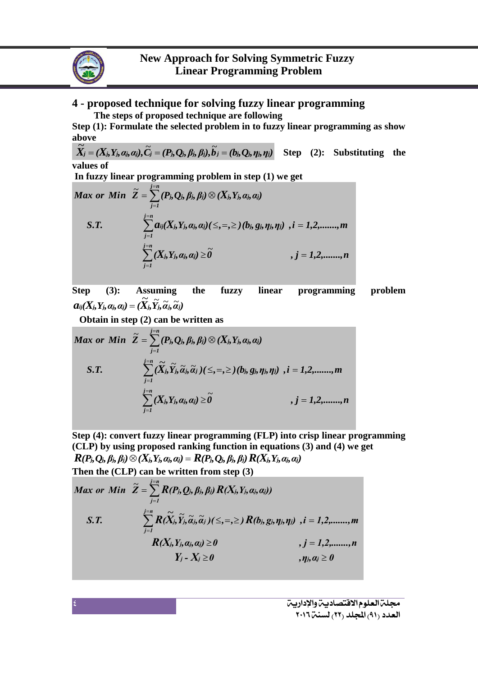

### **4 - proposed technique for solving fuzzy linear programming The steps of proposed technique are following**

**Step (1): Formulate the selected problem in to fuzzy linear programming as show above**

 $\widetilde{X}_j = (X_j, Y_j, \alpha_j, \alpha_j), \widetilde{C}_j = (P_j, Q_j, \beta_j, \beta_j), \widetilde{b}_j = (b_j, Q_j, \eta_j, \eta_j)$  Step (2): Substituting the **values of** 

**In fuzzy linear programming problem in step (1) we get**

Max or Min 
$$
\widetilde{Z} = \sum_{j=1}^{j=n} (P_{j}, Q_{j}, \beta_{j}, \beta_{j}) \otimes (X_{j}, Y_{j}, a_{j}, a_{j})
$$
  
\nS.T.  $\sum_{j=1}^{j=n} a_{ij}(X_{j}, Y_{j}, a_{j}, a_{j})(\leq, =, \geq)(b_{j}, g_{j}, \eta_{j}, \eta_{j})$ ,  $i = 1, 2, \ldots, m$   
\n $\sum_{j=1}^{j=n} (X_{j}, Y_{j}, a_{j}, a_{j}) \geq 0$ ,  $j = 1, 2, \ldots, n$ 

**Step (3): Assuming the fuzzy linear programming problem**   $a_{ij}(X_j, Y_j, a_{j}, a_{j}) = (\widetilde{X}_j, \widetilde{Y}_j, \widetilde{a}_j, \widetilde{a}_j)$ 

 **Obtain in step (2) can be written as**

$$
Max \text{ or } Min \quad \widetilde{Z} = \sum_{j=1}^{j=n} (P_{j}, Q_{j}, \beta_{j}, \beta_{j}) \otimes (X_{j}, Y_{j}, a_{j}, a_{j})
$$
\n
$$
S.T. \qquad \sum_{j=1}^{j=n} (\widetilde{X}_{j}, \widetilde{Y}_{j}, \widetilde{a}_{j}, \widetilde{a}_{j}) (\leq, =, \geq) (b_{j}, g_{j}, \eta_{j}, \eta_{j}) \quad, i = 1, 2, \dots, m
$$
\n
$$
\sum_{j=1}^{j=n} (X_{j}, Y_{j}, a_{j}, a_{j}) \geq \widetilde{0} \qquad j = 1, 2, \dots, n
$$

**Step (4): convert fuzzy linear programming (FLP) into crisp linear programming (CLP) by using proposed ranking function in equations (3) and (4) we get**  $R(P_i,Q_j,\beta_j,\beta_j)\otimes(X_i,Y_j,a_j,a_j)=R(P_j,Q_j,\beta_j,\beta_j)R(X_j,Y_j,a_j,a_j)$ 

**Then the (CLP) can be written from step (3)**

$$
Max \text{ or } Min \quad \widetilde{Z} = \sum_{j=1}^{j=n} R(P_j, Q_j, \beta_j, \beta_j) R(X_j, Y_j, \alpha_j, \alpha_j))
$$
\n
$$
S.T. \qquad \sum_{j=1}^{j=n} R(\widetilde{X}_j, \widetilde{Y}_j, \widetilde{\alpha}_j, \widetilde{\alpha}_j) (\leq, =, \geq) R(b_j, g_j, \eta_j, \eta_j) \quad, i = 1, 2, \dots, m
$$
\n
$$
R(X_j, Y_j, \alpha_j, \alpha_j) \geq 0 \qquad \qquad j = 1, 2, \dots, n
$$
\n
$$
Y_j - X_j \geq 0 \qquad \qquad \qquad \eta_j, \alpha_j \geq 0
$$

مجلتزالعلوم الاقتصاديي والإداريين العدد )11( اجمللد )22( لسنة 2112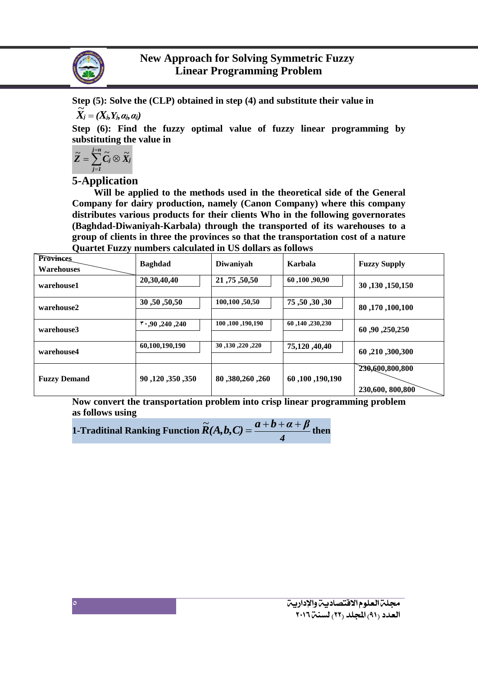

**Step (5): Solve the (CLP) obtained in step (4) and substitute their value in** 

 $\widetilde{X}_j = (X_j, Y_j, a_j, a_j)$ ..<br>~

**Step (6): Find the fuzzy optimal value of fuzzy linear programming by substituting the value in** 

$$
\widetilde{\boldsymbol{Z}}=\sum_{j=1}^{j=n}\widetilde{C}_{j}\otimes\widetilde{X}_{j}
$$

# **5-Application**

**Will be applied to the methods used in the theoretical side of the General Company for dairy production, namely (Canon Company) where this company distributes various products for their clients Who in the following governorates (Baghdad-Diwaniyah-Karbala) through the transported of its warehouses to a group of clients in three the provinces so that the transportation cost of a nature Quartet Fuzzy numbers calculated in US dollars as follows** 

| <b>Provinces</b><br><b>Warehouses</b> | <b>Baghdad</b>    | Diwaniyah        | Karbala        | <b>Fuzzy Supply</b>                 |
|---------------------------------------|-------------------|------------------|----------------|-------------------------------------|
| warehouse1                            | 20,30,40,40       | 21, 75, 50, 50   | 60,00,00,00    | 30, 130, 150, 150                   |
| warehouse2                            | 30,50,50,50       | 100,100,50,50    | 75, 50, 30, 30 | 80,170,100,100                      |
| warehouse3                            | 7.90, 240, 240    | 100,190,190      | 60,140,230,230 | 60,90,250,250                       |
| warehouse4                            | 60,100,190,190    | 30, 220, 220, 30 | 75,120,40,40   | 60, 300, 300, 60, 60                |
| <b>Fuzzy Demand</b>                   | 90, 120, 350, 350 | 80,380,260,260   | 60,100,190,190 | 230,600,800,800<br>230,600, 800,800 |

**Now convert the transportation problem into crisp linear programming problem as follows using**

**1-Traditinal Ranking Function** *4*  $\widetilde{R}(A,b,C) = \frac{a+b+a+\beta}{a}$  $\widetilde{R}(A,b,C) = \frac{a+b+a+\beta}{b}$  then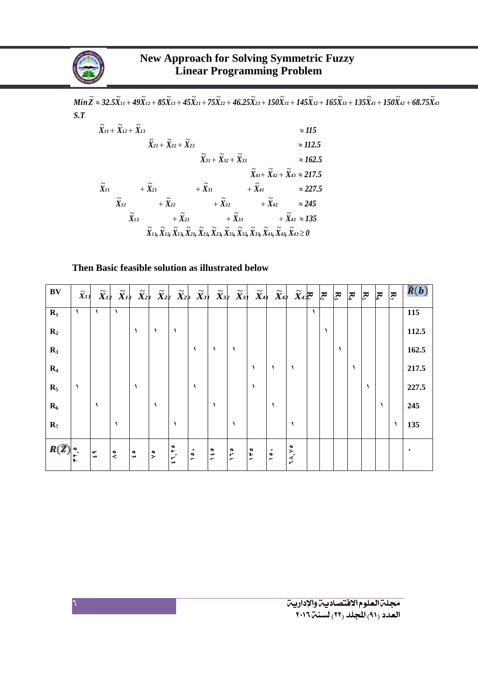

*S.T MinZ 32.5X 49X 85X 45X 75X 46.25X 150X 145X 165X 135X 150X 68.75X*  $n\widetilde{Z} \approx 32.5\widetilde{X}_{11} + 49\widetilde{X}_{12} + 85\widetilde{X}_{13} + 45\widetilde{X}_{21} + 75\widetilde{X}_{22} + 46.25\widetilde{X}_{23} + 150\widetilde{X}_{32} + 145\widetilde{X}_{32} + 165\widetilde{X}_{33} + 135\widetilde{X}_{41} + 150\widetilde{X}_{42} + 68.75\widetilde{X}_{43}$  $\widetilde{Z}\approx 32.5\widetilde{X}_{11}+49\widetilde{X}_{12}+85\widetilde{X}_{13}+45\widetilde{X}_{21}+75\widetilde{X}_{22}+46.25\widetilde{X}_{23}+150\widetilde{X}_{31}+145\widetilde{X}_{32}+165\widetilde{X}_{33}+135\widetilde{X}_{41}+150\widetilde{X}_{42}+68.75\widetilde{X}_{43}$ 

$$
\tilde{X}_{11} + \tilde{X}_{12} + \tilde{X}_{13} \approx 115
$$
\n
$$
\tilde{X}_{21} + \tilde{X}_{22} + \tilde{X}_{23} \approx 112.5
$$
\n
$$
\tilde{X}_{31} + \tilde{X}_{32} + \tilde{X}_{33} \approx 102.5
$$
\n
$$
\tilde{X}_{41} + \tilde{X}_{42} + \tilde{X}_{43} \approx 217.5
$$
\n
$$
\tilde{X}_{12} + \tilde{X}_{22} + \tilde{X}_{31} + \tilde{X}_{41} \approx 227.5
$$
\n
$$
\tilde{X}_{12} + \tilde{X}_{22} + \tilde{X}_{32} + \tilde{X}_{42} \approx 245
$$
\n
$$
\tilde{X}_{13} + \tilde{X}_{23} + \tilde{X}_{33} + \tilde{X}_{42} \approx 245
$$
\n
$$
\tilde{X}_{14} \tilde{X}_{12} \tilde{X}_{13} \tilde{X}_{21} \tilde{X}_{22} \tilde{X}_{23} \tilde{X}_{31} \tilde{X}_{32} \tilde{X}_{33} \tilde{X}_{41} \tilde{X}_{42} \tilde{X}_{43} \ge 0
$$

#### **Then Basic feasible solution as illustrated below**

| BV                   | $\tilde{X}_{11}$ | $\widetilde{X}_{I2}$ |                    |                         |               | $\widetilde{X}_{1}$ $\widetilde{X}_{2}$ $\widetilde{X}_{2}$ $\widetilde{X}_{2}$ $\widetilde{X}_{2}$ |                        |                                                               |                |               |                               | $\widetilde{X}_3$ $\widetilde{X}_3$ $\widetilde{X}_3$ $\widetilde{X}_4$ $\widetilde{X}_4$ $\widetilde{X}_4$ $\widetilde{X}_4$ | $\mathbf{R}_2$ | $\mathbf{R}$ | $\mathbb{R}^2$ | $\mathbf{R}_{\mathrm{s}}$ | $\mathbb{R}$ | $\mathbf{R}_7$ | $\widetilde{R}(\bm{b})$ |
|----------------------|------------------|----------------------|--------------------|-------------------------|---------------|-----------------------------------------------------------------------------------------------------|------------------------|---------------------------------------------------------------|----------------|---------------|-------------------------------|-------------------------------------------------------------------------------------------------------------------------------|----------------|--------------|----------------|---------------------------|--------------|----------------|-------------------------|
| $R_1$                | ١                |                      |                    |                         |               |                                                                                                     |                        |                                                               |                |               |                               |                                                                                                                               |                |              |                |                           |              |                | 115                     |
| $\mathbf{R}_2$       |                  |                      |                    |                         |               |                                                                                                     |                        |                                                               |                |               |                               |                                                                                                                               |                |              |                |                           |              |                | 112.5                   |
| $\mathbf{R}_3$       |                  |                      |                    |                         |               |                                                                                                     | ١                      | $\rightarrow$                                                 | ١              |               |                               |                                                                                                                               |                |              |                |                           |              |                | 162.5                   |
| $R_4$                |                  |                      |                    |                         |               |                                                                                                     |                        |                                                               |                |               |                               |                                                                                                                               |                |              |                |                           |              |                | 217.5                   |
| $\mathbf{R}_5$       | ١                |                      |                    |                         |               |                                                                                                     |                        |                                                               |                |               |                               |                                                                                                                               |                |              |                |                           |              |                | 227.5                   |
| $\mathbf{R}_{6}$     |                  |                      |                    |                         |               |                                                                                                     |                        |                                                               |                |               |                               |                                                                                                                               |                |              |                |                           | ١            |                | 245                     |
| $\mathbf{R}_{7}$     |                  |                      |                    |                         |               |                                                                                                     |                        |                                                               |                |               |                               |                                                                                                                               |                |              |                |                           |              | ١              | 135                     |
| $R(\widetilde{Z})$ . |                  | $\ddot{\bullet}$     | $\hat{\mathbf{v}}$ | $\bullet$<br>$\ddot{ }$ | $\frac{1}{2}$ | $\bullet$<br>$\sum_{n=1}^{\infty}$<br>$\ddot{\phantom{0}}$                                          | $\bullet$<br>$\bullet$ | $\bullet$<br>$\ddot{\phantom{0}}$<br>$\overline{\phantom{0}}$ | $\bullet$ 1, 4 | $\frac{1}{2}$ | $\bullet$<br>$\ddot{\bullet}$ | <b>AV.YS</b>                                                                                                                  |                |              |                |                           |              |                |                         |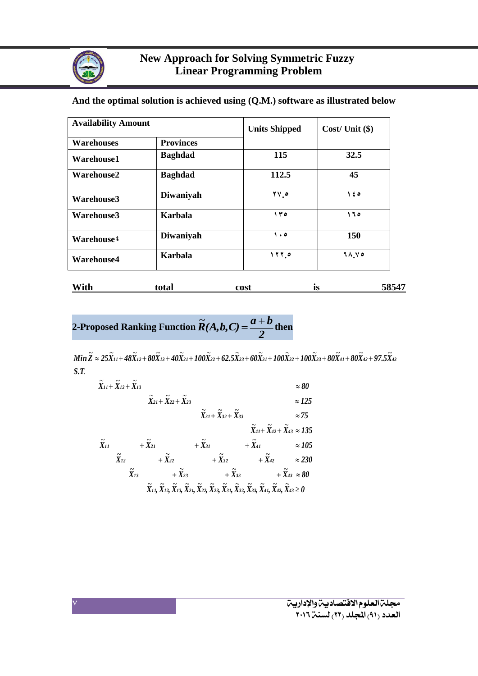

|  |  |  | And the optimal solution is achieved using $(Q.M.)$ software as illustrated below |  |
|--|--|--|-----------------------------------------------------------------------------------|--|
|  |  |  |                                                                                   |  |

| <b>Availability Amount</b> |                  | <b>Units Shipped</b> | $Cost/ Unit$ (\$) |
|----------------------------|------------------|----------------------|-------------------|
| <b>Warehouses</b>          | <b>Provinces</b> |                      |                   |
| <b>Warehouse1</b>          | <b>Baghdad</b>   | 115                  | 32.5              |
| <b>Warehouse2</b>          | <b>Baghdad</b>   | 112.5                | 45                |
| Warehouse3                 | Diwaniyah        | YV                   | ه ١٤              |
| Warehouse3                 | Karbala          | ۱۳۰                  | ۱٦٥               |
| <b>Warehouse</b>           | Diwaniyah        | $\lambda \cdot \phi$ | 150               |
| <b>Warehouse4</b>          | <b>Karbala</b>   | 11120                | <b>JA.VO</b>      |
| With                       | total            | cost                 | is<br>58547       |

**2-Proposed Ranking Function**  $R(A,b,C) = \frac{a+b}{2}$  $\widetilde{R}(A,b,C) = \frac{a+b}{2}$  $\widetilde{R}(A,b,C) = \frac{a+b}{2}$  then

*S.T MinZ 25X 48X 80X 40X 100X 62.5X 60X 100X 100X 80X 80X 97.5X*  $11 + \widetilde{X}_{12} + \widetilde{X}_{13}$ **.**<br>1  $\widetilde{Z}$  ≈ 25 $\widetilde{X}_{11}$  + 48 $\widetilde{X}_{12}$  + 80 $\widetilde{X}_{13}$  + 40 $\widetilde{X}_{21}$  + 100 $\widetilde{X}_{22}$  + 60. $\widetilde{X}_{33}$  + 100 $\widetilde{X}_{32}$  + 100 $\widetilde{X}_{33}$  + 80 $\widetilde{X}_{41}$  + 80 $\widetilde{X}_{42}$  + 97.5 $\widetilde{X}_{43}$  $\widetilde{Z}\approx 25\widetilde{X}_{11}+48\widetilde{X}_{12}+80\widetilde{X}_{13}+40\widetilde{X}_{21}+100\widetilde{X}_{22}+62.5\widetilde{X}_{23}+60\widetilde{X}_{31}+100\widetilde{X}_{32}+100\widetilde{X}_{33}+80\widetilde{X}_{41}+80\widetilde{X}_{42}+97.5\widetilde{X}_{41}$ 

$$
\tilde{X}_{11} + \tilde{X}_{12} + \tilde{X}_{13} \approx 80
$$
\n
$$
\tilde{X}_{21} + \tilde{X}_{22} + \tilde{X}_{23} \approx 125
$$
\n
$$
\tilde{X}_{31} + \tilde{X}_{32} + \tilde{X}_{33} \approx 75
$$
\n
$$
\tilde{X}_{41} + \tilde{X}_{42} + \tilde{X}_{43} \approx 135
$$
\n
$$
\tilde{X}_{12} + \tilde{X}_{22} + \tilde{X}_{32} + \tilde{X}_{32} + \tilde{X}_{41} \approx 105
$$
\n
$$
\tilde{X}_{13} + \tilde{X}_{23} + \tilde{X}_{32} + \tilde{X}_{33} + \tilde{X}_{42} \approx 230
$$
\n
$$
\tilde{X}_{14}, \tilde{X}_{12}, \tilde{X}_{13}, \tilde{X}_{24}, \tilde{X}_{23}, \tilde{X}_{34}, \tilde{X}_{33}, \tilde{X}_{44}, \tilde{X}_{42}, \tilde{X}_{43} \ge 0
$$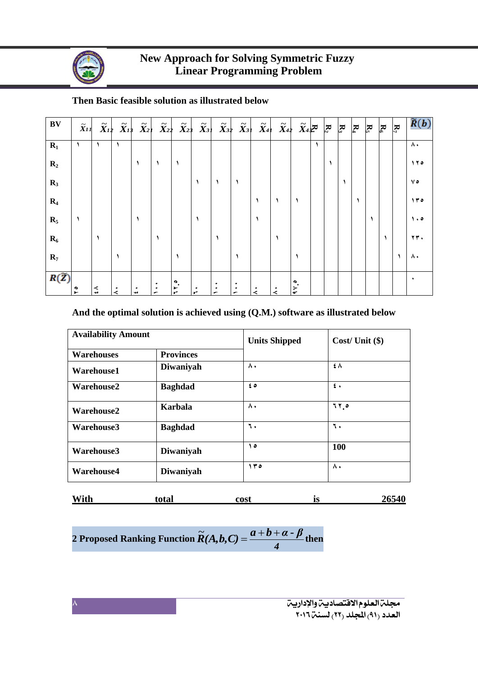

# **New Approach for Solving Symmetric Fuzzy Linear Programming Problem**

## **Then Basic feasible solution as illustrated below**

| <b>BV</b>          | $\tilde{\chi}_{II}$ |                               |                    | $\widetilde{X}_1$ $\widetilde{X}_2$ $\widetilde{X}_2$ $\widetilde{X}_2$ $\widetilde{X}_2$ $\widetilde{X}_3$ $\widetilde{X}_3$ $\widetilde{X}_3$ $\widetilde{X}_4$ $\widetilde{X}_4$ $\widetilde{X}_4$ $\widetilde{X}_4$ $\widetilde{X}_4$ $\widetilde{X}_5$ $\widetilde{X}_6$ |   |        |    |           |                     |                  |   |                      |   | $\mathbb{R}^2$ | $\mathbb{R}^4$ | $\mathbf{R}_{\mathbf{s}}$ | $\mathbb{R}_6$ | $\mathbb{R}_7$ | $\widetilde{R}(b)$   |
|--------------------|---------------------|-------------------------------|--------------------|-------------------------------------------------------------------------------------------------------------------------------------------------------------------------------------------------------------------------------------------------------------------------------|---|--------|----|-----------|---------------------|------------------|---|----------------------|---|----------------|----------------|---------------------------|----------------|----------------|----------------------|
| $R_1$              | ١                   | ١                             |                    |                                                                                                                                                                                                                                                                               |   |        |    |           |                     |                  |   |                      | ٠ |                |                |                           |                |                | ۸.                   |
| $\mathbf{R}_2$     |                     |                               |                    |                                                                                                                                                                                                                                                                               |   |        |    |           |                     |                  |   |                      |   |                |                |                           |                |                | 170                  |
| $\mathbf{R}_3$     |                     |                               |                    |                                                                                                                                                                                                                                                                               |   |        |    | $\lambda$ |                     |                  |   |                      |   |                |                |                           |                |                | $\vee$ 0             |
| $R_4$              |                     |                               |                    |                                                                                                                                                                                                                                                                               |   |        |    |           |                     |                  |   | ١                    |   |                |                |                           |                |                | 140                  |
| $\mathbf{R}_5$     | ١                   |                               |                    |                                                                                                                                                                                                                                                                               |   |        |    |           |                     |                  |   |                      |   |                |                |                           |                |                | $\lambda \cdot \rho$ |
| $\mathbf{R}_6$     |                     |                               |                    |                                                                                                                                                                                                                                                                               |   |        |    |           |                     |                  |   |                      |   |                |                |                           |                |                | ۲۳.                  |
| $\mathbf{R}_{7}$   |                     |                               |                    |                                                                                                                                                                                                                                                                               |   |        |    |           |                     |                  |   |                      |   |                |                |                           |                | ١              | ۸.                   |
| $R(\widetilde{Z})$ | $\frac{0}{r}$       | $\stackrel{\textstyle{1}}{3}$ | $\dot{\mathbf{z}}$ | $\ddot{\phantom{0}}$                                                                                                                                                                                                                                                          | ٠ | ۰<br>٠ | مو | ٠         | ٠<br>$\bullet$<br>∽ | $\dot{\tilde{}}$ | k | o<br>$\tilde{\zeta}$ |   |                |                |                           |                |                |                      |

### **And the optimal solution is achieved using (Q.M.) software as illustrated below**

| <b>Availability Amount</b> |                  | <b>Units Shipped</b> | Cost/ Unit (\$) |
|----------------------------|------------------|----------------------|-----------------|
| <b>Warehouses</b>          | <b>Provinces</b> |                      |                 |
| <b>Warehouse1</b>          | <b>Diwaniyah</b> | ۸.                   | ٤٨              |
| <b>Warehouse2</b>          | <b>Baghdad</b>   | ه ٤                  | $\epsilon$ .    |
| <b>Warehouse2</b>          | Karbala          | ۸.                   | ۰,۲۰            |
| Warehouse3                 | <b>Baghdad</b>   | ٦.                   | ٦.              |
| Warehouse3                 | Diwaniyah        | ه ۱                  | 100             |
| Warehouse4                 | Diwaniyah        | ه ۲ ۱                | ۸٠              |
| With                       | total            | cost                 | is<br>26540     |

$$
(\mathcal{M}_\mathcal{A},\mathcal{M}_\mathcal{A},\mathcal{M}_\mathcal{A},\mathcal{M}_\mathcal{A},\mathcal{M}_\mathcal{A},\mathcal{M}_\mathcal{A},\mathcal{M}_\mathcal{A},\mathcal{M}_\mathcal{A},\mathcal{M}_\mathcal{A},\mathcal{M}_\mathcal{A},\mathcal{M}_\mathcal{A},\mathcal{M}_\mathcal{A},\mathcal{M}_\mathcal{A},\mathcal{M}_\mathcal{A},\mathcal{M}_\mathcal{A},\mathcal{M}_\mathcal{A},\mathcal{M}_\mathcal{A},\mathcal{M}_\mathcal{A},\mathcal{M}_\mathcal{A},\mathcal{M}_\mathcal{A},\mathcal{M}_\mathcal{A},\mathcal{M}_\mathcal{A},\mathcal{M}_\mathcal{A},\mathcal{M}_\mathcal{A},\mathcal{M}_\mathcal{A},\mathcal{M}_\mathcal{A},\mathcal{M}_\mathcal{A},\mathcal{M}_\mathcal{A},\mathcal{M}_\mathcal{A},\mathcal{M}_\mathcal{A},\mathcal{M}_\mathcal{A},\mathcal{M}_\mathcal{A},\mathcal{M}_\mathcal{A},\mathcal{M}_\mathcal{A},\mathcal{M}_\mathcal{A},\mathcal{M}_\mathcal{A},\mathcal{M}_\mathcal{A},\mathcal{M}_\mathcal{A},\mathcal{M}_\mathcal{A},\mathcal{M}_\mathcal{A},\mathcal{M}_\mathcal{A},\mathcal{M}_\mathcal{A},\mathcal{M}_\mathcal{A},\mathcal{M}_\mathcal{A},\mathcal{M}_\mathcal{A},\mathcal{M}_\mathcal{A},\mathcal{M}_\mathcal{A},\mathcal{M}_\mathcal{A},\mathcal{M}_\mathcal{A},\mathcal{M}_\mathcal{A},\mathcal{M}_\mathcal{A},\mathcal{M}_\mathcal{A},\mathcal{M}_\mathcal{A},\mathcal{M}_\mathcal{A},\mathcal{M}_\mathcal{A},\mathcal{M}_\mathcal{A},\mathcal{M}_\mathcal{A},\mathcal{M}_\mathcal{A},\mathcal{M}_\mathcal{A},\mathcal{M}_\mathcal{A},\mathcal{M}_\mathcal{A},\mathcal{M}_\mathcal{A},\mathcal{M}_\mathcal{A},\mathcal
$$

**2 Proposed Ranking Function** *4*  $\widetilde{R}(A,b,C) = \frac{a+b+a-b}{a}$  $\widetilde{R}(A,b,C) = \frac{a+b+\alpha-\beta}{a}$  then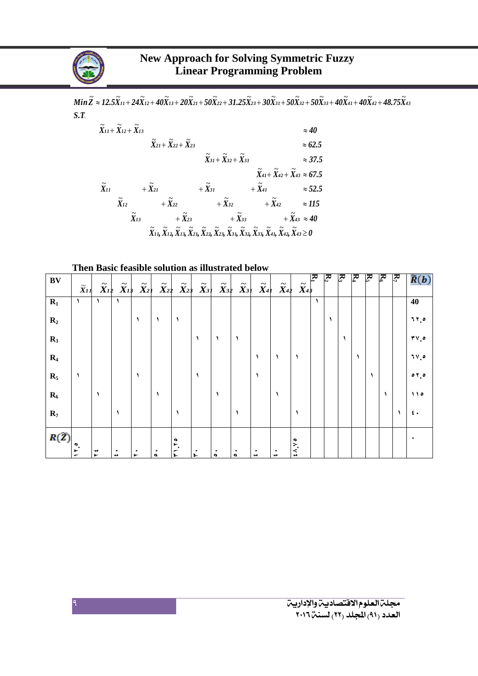

*S.T MinZ 12.5X 24X 40X 20X 50X 31.25X 30X 50X 50X 40X 40X 48.75X*  $\overline{X} \approx 12.5\widetilde{X}_{11} + 24\widetilde{X}_{12} + 40\widetilde{X}_{13} + 20\widetilde{X}_{21} + 50\widetilde{X}_{22} + 31.25\widetilde{X}_{23} + 30\widetilde{X}_{31} + 50\widetilde{X}_{32} + 50\widetilde{X}_{33} + 40\widetilde{X}_{41} + 40\widetilde{X}_{42} + 48.75\widetilde{X}_{43}$  $\widetilde{Z}\approx 12.5\widetilde{X}_{11}+24\widetilde{X}_{12}+40\widetilde{X}_{13}+20\widetilde{X}_{21}+50\widetilde{X}_{22}+31.25\widetilde{X}_{23}+30\widetilde{X}_{31}+50\widetilde{X}_{32}+50\widetilde{X}_{33}+40\widetilde{X}_{41}+40\widetilde{X}_{42}+48.75\widetilde{X}_{43}$ 

 $+ \tilde{X}_{23}$   $+ \tilde{X}_{33}$   $+ \tilde{X}_{43} \approx 4$ <br> $\tilde{X}_{14}, \tilde{X}_{12}, \tilde{X}_{13}, \tilde{X}_{24}, \tilde{X}_{23}, \tilde{X}_{23}, \tilde{X}_{34}, \tilde{X}_{33}, \tilde{X}_{44}, \tilde{X}_{43}, \tilde{X}_{43} \ge 0$  $X_{13}$  +  $X_{23}$  +  $X_{33}$  +  $X_{43} \approx 40$  $\widetilde{X}_{12}$  +  $\widetilde{X}_{22}$  +  $\widetilde{X}_{32}$  +  $\widetilde{X}_{42}$   $\approx 115$  $\widetilde{X}_{11}$  +  $\widetilde{X}_{21}$  +  $\widetilde{X}_{31}$  +  $\widetilde{X}_{41}$   $\approx$  52.5  $\approx 37.5$   $\widetilde{X}_{41} + \widetilde{X}_{42} + \widetilde{X}_{43} \approx 67.5$  $\widetilde{X}_{31} + \widetilde{X}_{32} + \widetilde{X}_{33}$   $\approx 37.5$  $\widetilde{X}_{21} + \widetilde{X}_{22} + \widetilde{X}_{23}$ <br>  $\approx 62.5$ *S.T.*  $\tilde{X}_{11} + \tilde{X}_{12} + \tilde{X}_{13}$   $\approx 40$  $+ \widetilde{X}_{22} + \widetilde{X}_{32} + \widetilde{X}_{42} + \widetilde{X}_{53} + \widetilde{X}_{53} + \widetilde{X}_{43}$  $+\widetilde{X}_{21}$ <br> $+\widetilde{X}_{32}$ <br> $+\widetilde{X}_{32}$ <br> $+\widetilde{X}_{32}$ <br> $+\widetilde{X}_{41}$ <br> $+\widetilde{X}_{42}$  $\frac{\tilde{X}_{41}}{11}$  +  $\tilde{X}_{21}$  +  $\tilde{X}_{31}$  +  $\tilde{X}_{41}$  $\widetilde{X}_{12}$  +  $\widetilde{X}_{22}$  +  $\widetilde{X}_{32}$  +  $\widetilde{X}_{42}$   $\approx$  $+\widetilde{X}_{3I}$  $\widetilde{X}_{13}$  +  $\widetilde{X}_{23}$  +  $\widetilde{X}_{33}$  $+ \, \widetilde{X}_{2I}$ 

**Then Basic feasible solution as illustrated below**

| $\mathbf{B}\mathbf{V}$ |                                   | Then Dasie Ieasibie solution as mustrated below |                           |                                           |                   |                                |                   |                     |                           |                                   |                                   |                                     | Rı | $\mathbf{R}_2$ | $\overline{\mathbf{M}}$ | $\mathbf{K}_4$ | $\mathbf{R}_5$ | $\mathbf{R}_6$ | $\mathbf{R}_7$ | $\widetilde{R}(\bm{b})$ |
|------------------------|-----------------------------------|-------------------------------------------------|---------------------------|-------------------------------------------|-------------------|--------------------------------|-------------------|---------------------|---------------------------|-----------------------------------|-----------------------------------|-------------------------------------|----|----------------|-------------------------|----------------|----------------|----------------|----------------|-------------------------|
|                        | $\tilde{\chi}_{II}$               | $\widetilde{X}_{I2}$                            |                           | $\widetilde{X}_{13}$ $\widetilde{X}_{21}$ | $\widetilde{X}_2$ | $\widetilde X_{23}$            | $\widetilde X_3$  | $\widetilde X_{32}$ | $\widetilde X_3$ l        | $\widetilde X$ 41                 |                                   | $\widetilde{X}_4$ $\widetilde{X}_4$ |    |                |                         |                |                |                |                |                         |
| $R_1$                  | ١                                 | ١                                               |                           |                                           |                   |                                |                   |                     |                           |                                   |                                   |                                     |    |                |                         |                |                |                |                | 40                      |
| $\mathbf{R}_2$         |                                   |                                                 |                           |                                           |                   |                                |                   |                     |                           |                                   |                                   |                                     |    |                |                         |                |                |                |                | 77.0                    |
| $\mathbf{R}_3$         |                                   |                                                 |                           |                                           |                   |                                |                   | ۹                   |                           |                                   |                                   |                                     |    |                |                         |                |                |                |                | $TV$ .                  |
| $R_4$                  |                                   |                                                 |                           |                                           |                   |                                |                   |                     |                           |                                   |                                   | ٠                                   |    |                |                         |                |                |                |                | 7V,0                    |
| $\mathbf{R}_5$         | ١                                 |                                                 |                           |                                           |                   |                                |                   |                     |                           |                                   |                                   |                                     |    |                |                         |                |                |                |                | 0.10                    |
| $\mathbf{R}_{6}$       |                                   |                                                 |                           |                                           |                   |                                |                   |                     |                           |                                   |                                   |                                     |    |                |                         |                |                |                |                | ه ۱۱                    |
| $\mathbf{R}_{7}$       |                                   |                                                 |                           |                                           |                   |                                |                   |                     |                           |                                   |                                   |                                     |    |                |                         |                |                |                | $\lambda$      | $\epsilon$ .            |
| $R(\widetilde{Z})$     | $\bullet$<br>$\frac{1}{\epsilon}$ | $\ddot{r}$                                      | ٠<br>$\ddot{\phantom{0}}$ | $\bullet$<br>$\blacktriangleright$        | ٠<br>$\bullet$    | $\bullet$<br>r<br>$\mathbf{L}$ | ٠<br>$\mathbf{L}$ | ٠<br>$\mathbf{o}$   | $\bullet$<br>$\mathbf{o}$ | $\bullet$<br>$\ddot{\phantom{0}}$ | $\bullet$<br>$\ddot{\phantom{0}}$ | $\bullet$ V, V 3                    |    |                |                         |                |                |                |                |                         |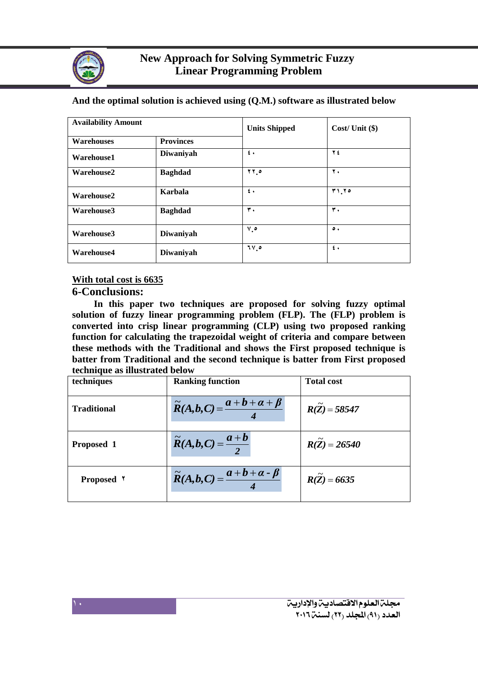

|  |  | And the optimal solution is achieved using $(Q.M.)$ software as illustrated below |
|--|--|-----------------------------------------------------------------------------------|
|  |  |                                                                                   |

| <b>Availability Amount</b> |                  | <b>Units Shipped</b> | $Cost/ Unit$ (\$) |
|----------------------------|------------------|----------------------|-------------------|
| <b>Warehouses</b>          | <b>Provinces</b> |                      |                   |
| Warehouse1                 | Diwaniyah        | $\mathbf{f}$ .       | ٢٤                |
| Warehouse2                 | <b>Baghdad</b>   | 41.0                 | ۲.                |
| Warehouse2                 | Karbala          | $\epsilon$ .         | T1.70             |
| Warehouse3                 | <b>Baghdad</b>   | ٣.                   | $\mathbf{r}$ .    |
| Warehouse3                 | Diwaniyah        | V, P                 | $\circ$ .         |
| Warehouse4                 | Diwaniyah        | ۰۷.٥                 | $\epsilon$ .      |

### **With total cost is 6635**

### **6-Conclusions:**

**In this paper two techniques are proposed for solving fuzzy optimal solution of fuzzy linear programming problem (FLP). The (FLP) problem is converted into crisp linear programming (CLP) using two proposed ranking function for calculating the trapezoidal weight of criteria and compare between these methods with the Traditional and shows the First proposed technique is batter from Traditional and the second technique is batter from First proposed technique as illustrated below**

| techniques         | <b>Ranking function</b>                             | <b>Total cost</b>         |
|--------------------|-----------------------------------------------------|---------------------------|
| <b>Traditional</b> | $\widetilde{R}(A,b,C) = \frac{a+b+\alpha+\beta}{4}$ | $R(\tilde{Z}) = 58547$    |
| Proposed 1         | $\widetilde{R}(A,b,C)=\frac{a+b}{2}$                | $R(\tilde{Z}) = 26540$    |
| <b>Proposed</b>    | $\widetilde{R}(A,b,C) = \frac{a+b+\alpha-\beta}{4}$ | $R(\widetilde{Z}) = 6635$ |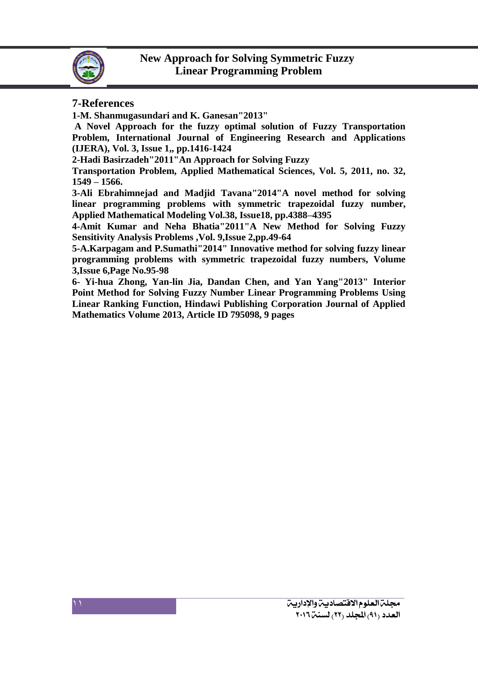

## **7-References**

**1-M. Shanmugasundari and K. Ganesan"2013"**

**A Novel Approach for the fuzzy optimal solution of Fuzzy Transportation Problem, International Journal of Engineering Research and Applications (IJERA), Vol. 3, Issue 1,, pp.1416-1424**

**2-Hadi Basirzadeh"2011"An Approach for Solving Fuzzy**

**Transportation Problem, Applied Mathematical Sciences, Vol. 5, 2011, no. 32, 1549 – 1566.**

**3-Ali Ebrahimnejad and Madjid Tavana"2014"A novel method for solving linear programming problems with symmetric trapezoidal fuzzy number, Applied Mathematical Modeling Vol.38, Issue18, pp.4388–4395**

**4-Amit Kumar and Neha Bhatia"2011"A New Method for Solving Fuzzy Sensitivity Analysis Problems ,Vol. 9,Issue 2,pp.49-64**

**5-A.Karpagam and P.Sumathi"2014" Innovative method for solving fuzzy linear programming problems with symmetric trapezoidal fuzzy numbers, Volume 3,Issue 6,Page No.95-98**

**6- Yi-hua Zhong, Yan-lin Jia, Dandan Chen, and Yan Yang"2013" Interior Point Method for Solving Fuzzy Number Linear Programming Problems Using Linear Ranking Function, Hindawi Publishing Corporation Journal of Applied Mathematics Volume 2013, Article ID 795098, 9 pages**